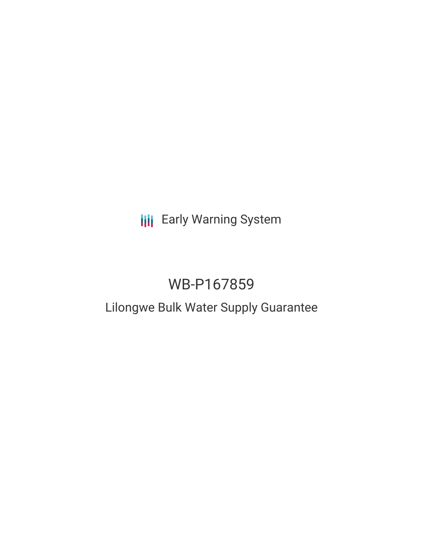# **III** Early Warning System

# WB-P167859

# Lilongwe Bulk Water Supply Guarantee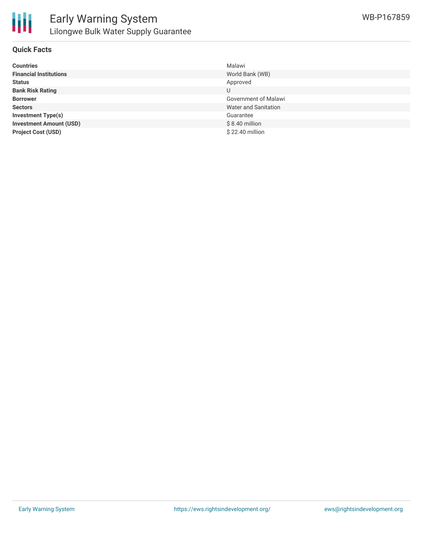

# **Quick Facts**

| <b>Countries</b>               | Malawi               |
|--------------------------------|----------------------|
| <b>Financial Institutions</b>  | World Bank (WB)      |
| <b>Status</b>                  | Approved             |
| <b>Bank Risk Rating</b>        | U                    |
| <b>Borrower</b>                | Government of Malawi |
| <b>Sectors</b>                 | Water and Sanitation |
| <b>Investment Type(s)</b>      | Guarantee            |
| <b>Investment Amount (USD)</b> | $$8.40$ million      |
| <b>Project Cost (USD)</b>      | \$22.40 million      |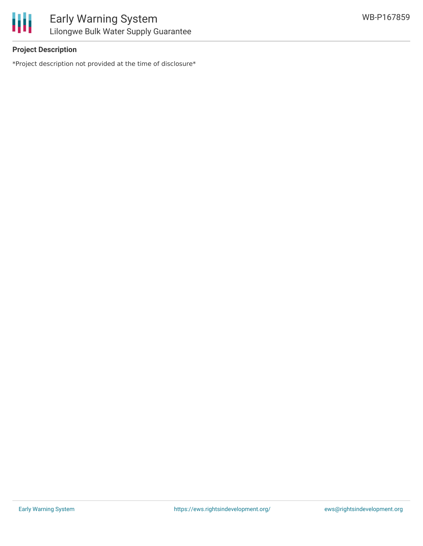

# **Project Description**

\*Project description not provided at the time of disclosure\*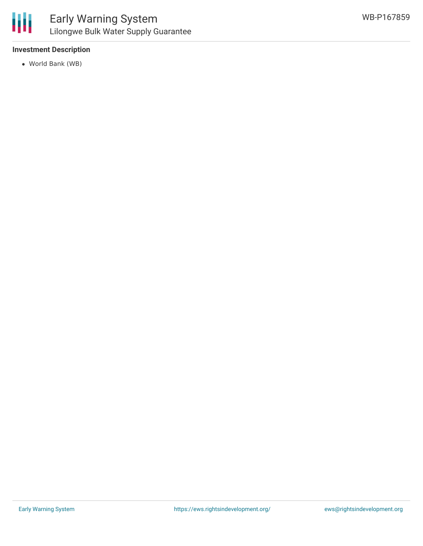# **Investment Description**

World Bank (WB)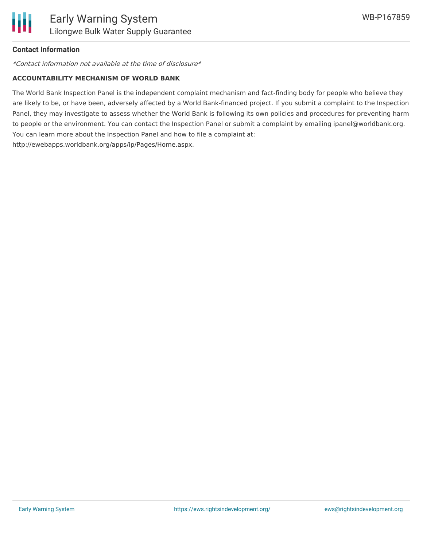# **Contact Information**

\*Contact information not available at the time of disclosure\*

#### **ACCOUNTABILITY MECHANISM OF WORLD BANK**

The World Bank Inspection Panel is the independent complaint mechanism and fact-finding body for people who believe they are likely to be, or have been, adversely affected by a World Bank-financed project. If you submit a complaint to the Inspection Panel, they may investigate to assess whether the World Bank is following its own policies and procedures for preventing harm to people or the environment. You can contact the Inspection Panel or submit a complaint by emailing ipanel@worldbank.org. You can learn more about the Inspection Panel and how to file a complaint at: http://ewebapps.worldbank.org/apps/ip/Pages/Home.aspx.